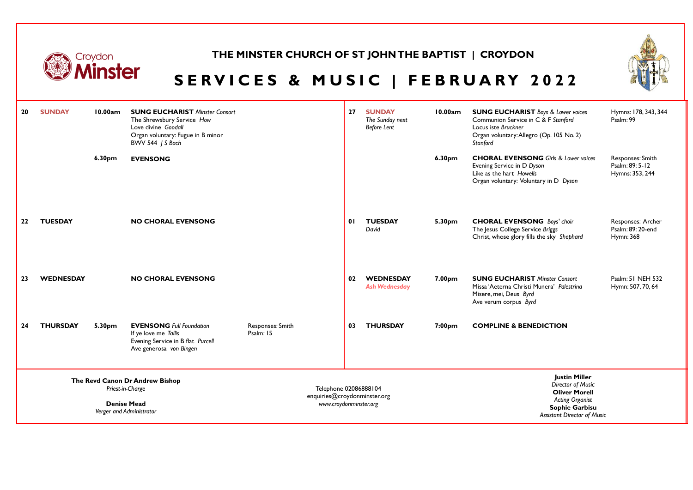

### **THE MINSTER CHURCH OF ST JOHN THE BAPTIST | CROYDON**



# SERVICES & MUSIC | FEBRUARY 2022

| 20 | <b>SUNDAY</b>    | 10.00am | <b>SUNG EUCHARIST Minster Consort</b><br>The Shrewsbury Service How<br>Love divine Goodall<br>Organ voluntary: Fugue in B minor<br>BWV 544 J S Bach |                                                                                 | 27 | <b>SUNDAY</b><br>The Sunday next<br><b>Before Lent</b> | 10.00am            | <b>SUNG EUCHARIST</b> Boys & Lower voices<br>Communion Service in C & F Stanford<br>Locus iste Bruckner<br>Organ voluntary: Allegro (Op. 105 No. 2)<br>Stanford | Hymns: 178, 343, 344<br>Psalm: 99                      |
|----|------------------|---------|-----------------------------------------------------------------------------------------------------------------------------------------------------|---------------------------------------------------------------------------------|----|--------------------------------------------------------|--------------------|-----------------------------------------------------------------------------------------------------------------------------------------------------------------|--------------------------------------------------------|
|    |                  | 6.30pm  | <b>EVENSONG</b>                                                                                                                                     |                                                                                 |    |                                                        | 6.30 <sub>pm</sub> | <b>CHORAL EVENSONG</b> Girls & Lower voices<br>Evening Service in D Dyson<br>Like as the hart Howells<br>Organ voluntary: Voluntary in D Dyson                  | Responses: Smith<br>Psalm: 89: 5-12<br>Hymns: 353, 244 |
| 22 | <b>TUESDAY</b>   |         | <b>NO CHORAL EVENSONG</b>                                                                                                                           |                                                                                 | 01 | <b>TUESDAY</b><br>David                                | 5.30pm             | <b>CHORAL EVENSONG</b> Boys' choir<br>The Jesus College Service Briggs<br>Christ, whose glory fills the sky Shephard                                            | Responses: Archer<br>Psalm: 89: 20-end<br>Hymn: 368    |
| 23 | <b>WEDNESDAY</b> |         | <b>NO CHORAL EVENSONG</b>                                                                                                                           |                                                                                 | 02 | <b>WEDNESDAY</b><br><b>Ash Wednesday</b>               | 7.00pm             | <b>SUNG EUCHARIST Minster Consort</b><br>Missa 'Aeterna Christi Munera' Palestrina<br>Misere, mei, Deus Byrd<br>Ave verum corpus Byrd                           | Psalm: 51 NEH 532<br>Hymn: 507, 70, 64                 |
| 24 | <b>THURSDAY</b>  | 5.30pm  | <b>EVENSONG Full Foundation</b><br>If ye love me Tallis<br>Evening Service in B flat Purcell<br>Ave generosa von Bingen                             | Responses: Smith<br>Psalm: 15                                                   | 03 | <b>THURSDAY</b>                                        | 7:00pm             | <b>COMPLINE &amp; BENEDICTION</b>                                                                                                                               |                                                        |
|    |                  |         | The Revd Canon Dr Andrew Bishop<br>Priest-in-Charge<br><b>Denise Mead</b><br>Verger and Administrator                                               | Telephone 02086888104<br>enquiries@croydonminster.org<br>www.croydonminster.org |    |                                                        |                    | <b>Justin Miller</b><br>Director of Music<br><b>Oliver Morell</b><br><b>Acting Organist</b><br><b>Sophie Garbisu</b><br><b>Assistant Director of Music</b>      |                                                        |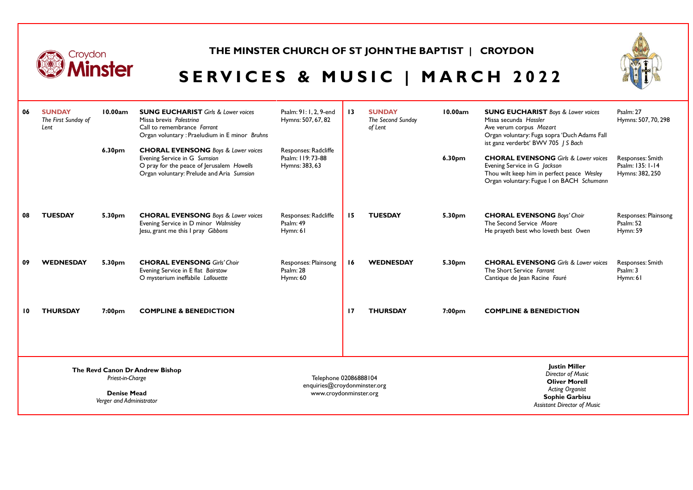

#### **THE MINSTER CHURCH OF ST JOHN THE BAPTIST | CROYDON**



# **SERVICES & MUSIC | MARCH 2022**

| 06                                                                                                    | <b>SUNDAY</b><br>The First Sunday of<br>Lent | 10.00am<br>6.30 <sub>pm</sub> | <b>SUNG EUCHARIST</b> Girls & Lower voices<br>Missa brevis Palestrina<br>Call to remembrance Farrant<br>Organ voluntary: Praeludium in E minor Bruhns<br><b>CHORAL EVENSONG</b> Boys & Lower voices<br>Evening Service in G Sumsion<br>O pray for the peace of Jerusalem Howells<br>Organ voluntary: Prelude and Aria Sumsion | Psalm: 91: 1, 2, 9-end<br>Hymns: 507, 67, 82<br>Responses: Radcliffe<br>Psalm: 119: 73-88<br>Hymns: 383, 63 | $\overline{13}$ | <b>SUNDAY</b><br>The Second Sunday<br>of Lent | 10.00am<br>6.30pm | <b>SUNG EUCHARIST</b> Boys & Lower voices<br>Missa secunda Hassler<br>Ave verum corpus Mozart<br>Organ voluntary: Fuga sopra 'Duch Adams Fall<br>ist ganz verderbt' BWV 705 / S Bach<br><b>CHORAL EVENSONG</b> Girls & Lower voices<br>Evening Service in G Jackson<br>Thou wilt keep him in perfect peace Wesley<br>Organ voluntary: Fugue I on BACH Schumann | Psalm: 27<br>Hymns: 507, 70, 298<br>Responses: Smith<br>Psalm: 135: 1-14<br>Hymns: 382, 250 |
|-------------------------------------------------------------------------------------------------------|----------------------------------------------|-------------------------------|-------------------------------------------------------------------------------------------------------------------------------------------------------------------------------------------------------------------------------------------------------------------------------------------------------------------------------|-------------------------------------------------------------------------------------------------------------|-----------------|-----------------------------------------------|-------------------|----------------------------------------------------------------------------------------------------------------------------------------------------------------------------------------------------------------------------------------------------------------------------------------------------------------------------------------------------------------|---------------------------------------------------------------------------------------------|
| 08                                                                                                    | <b>TUESDAY</b>                               | 5.30pm                        | <b>CHORAL EVENSONG</b> Boys & Lower voices<br>Evening Service in D minor Walmisley<br>Jesu, grant me this I pray Gibbons                                                                                                                                                                                                      | Responses: Radcliffe<br>Psalm: 49<br>Hymn: 61                                                               | 15              | <b>TUESDAY</b>                                | 5.30pm            | <b>CHORAL EVENSONG Boys' Choir</b><br>The Second Service Moore<br>He prayeth best who loveth best Owen                                                                                                                                                                                                                                                         | Responses: Plainsong<br>Psalm: 52<br>Hymn: 59                                               |
| 09                                                                                                    | <b>WEDNESDAY</b>                             | 5.30pm                        | <b>CHORAL EVENSONG Girls' Choir</b><br>Evening Service in E flat Bairstow<br>O mysterium ineffabile Lallouette                                                                                                                                                                                                                | Responses: Plainsong<br>Psalm: 28<br>Hymn: 60                                                               | 16              | <b>WEDNESDAY</b>                              | 5.30pm            | <b>CHORAL EVENSONG</b> Girls & Lower voices<br>The Short Service Farrant<br>Cantique de Jean Racine Fauré                                                                                                                                                                                                                                                      | Responses: Smith<br>Psalm: 3<br>Hymn: 61                                                    |
| 10                                                                                                    | <b>THURSDAY</b>                              | 7:00 <sub>pm</sub>            | <b>COMPLINE &amp; BENEDICTION</b>                                                                                                                                                                                                                                                                                             |                                                                                                             | 17              | <b>THURSDAY</b>                               | 7:00pm            | <b>COMPLINE &amp; BENEDICTION</b>                                                                                                                                                                                                                                                                                                                              |                                                                                             |
| The Revd Canon Dr Andrew Bishop<br>Priest-in-Charge<br><b>Denise Mead</b><br>Verger and Administrator |                                              |                               |                                                                                                                                                                                                                                                                                                                               | Telephone 02086888104<br>enquiries@croydonminster.org<br>www.croydonminster.org                             |                 |                                               |                   | <b>Justin Miller</b><br>Director of Music<br><b>Oliver Morell</b><br><b>Acting Organist</b><br><b>Sophie Garbisu</b><br><b>Assistant Director of Music</b>                                                                                                                                                                                                     |                                                                                             |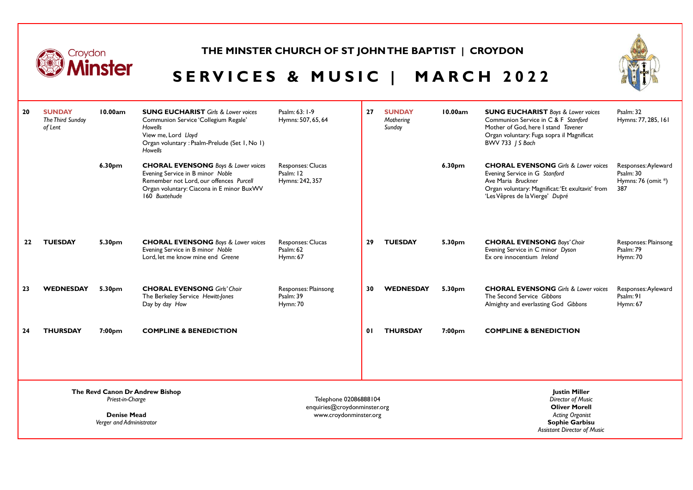

### **THE MINSTER CHURCH OF ST JOHN THE BAPTIST | CROYDON**



# **SERVICES & MUSIC | MARCH 2022**

| 20                                                                                                    | <b>SUNDAY</b><br>The Third Sunday<br>of Lent | 10.00am | <b>SUNG EUCHARIST</b> Girls & Lower voices<br>Communion Service 'Collegium Regale'<br><b>Howells</b><br>View me, Lord Lloyd<br>Organ voluntary : Psalm-Prelude (Set 1, No 1)<br>Howells | Psalm: 63: 1-9<br>Hymns: 507, 65, 64                                            | 27 | <b>SUNDAY</b><br>Mothering<br>Sunday | 10.00am | <b>SUNG EUCHARIST</b> Boys & Lower voices<br>Communion Service in C & F Stanford<br>Mother of God, here I stand Tavener<br>Organ voluntary: Fuga sopra il Magnificat<br>BWV 733 J S Bach  | Psalm: 32<br>Hymns: 77, 285, 161                              |
|-------------------------------------------------------------------------------------------------------|----------------------------------------------|---------|-----------------------------------------------------------------------------------------------------------------------------------------------------------------------------------------|---------------------------------------------------------------------------------|----|--------------------------------------|---------|-------------------------------------------------------------------------------------------------------------------------------------------------------------------------------------------|---------------------------------------------------------------|
|                                                                                                       |                                              | 6.30pm  | <b>CHORAL EVENSONG</b> Boys & Lower voices<br>Evening Service in B minor Noble<br>Remember not Lord, our offences Purcell<br>Organ voluntary: Ciacona in E minor BuxWV<br>160 Buxtehude | Responses: Clucas<br>Psalm: 12<br>Hymns: 242, 357                               |    |                                      | 6.30pm  | <b>CHORAL EVENSONG</b> Girls & Lower voices<br>Evening Service in G Stanford<br>Ave Maria Bruckner<br>Organ voluntary: Magnificat: 'Et exultavit' from<br>'Les Vêpres de la Vierge' Dupré | Responses: Ayleward<br>Psalm: 30<br>Hymns: 76 (omit *)<br>387 |
| 22                                                                                                    | <b>TUESDAY</b>                               | 5.30pm  | <b>CHORAL EVENSONG</b> Boys & Lower voices<br>Evening Service in B minor Noble<br>Lord, let me know mine end Greene                                                                     | Responses: Clucas<br>Psalm: 62<br>Hymn: 67                                      | 29 | <b>TUESDAY</b>                       | 5.30pm  | <b>CHORAL EVENSONG Boys' Choir</b><br>Evening Service in C minor Dyson<br>Ex ore innocentium Ireland                                                                                      | Responses: Plainsong<br>Psalm: 79<br>Hymn: 70                 |
| 23                                                                                                    | <b>WEDNESDAY</b>                             | 5.30pm  | <b>CHORAL EVENSONG Girls' Choir</b><br>The Berkeley Service Hewitt-Jones<br>Day by day How                                                                                              | Responses: Plainsong<br>Psalm: 39<br><b>Hymn: 70</b>                            | 30 | <b>WEDNESDAY</b>                     | 5.30pm  | <b>CHORAL EVENSONG</b> Girls & Lower voices<br>The Second Service Gibbons<br>Almighty and everlasting God Gibbons                                                                         | Responses: Ayleward<br>Psalm: 91<br><b>Hymn: 67</b>           |
| 24                                                                                                    | <b>THURSDAY</b>                              | 7:00pm  | <b>COMPLINE &amp; BENEDICTION</b>                                                                                                                                                       |                                                                                 | 01 | <b>THURSDAY</b>                      | 7:00pm  | <b>COMPLINE &amp; BENEDICTION</b>                                                                                                                                                         |                                                               |
| The Revd Canon Dr Andrew Bishop<br>Priest-in-Charge<br><b>Denise Mead</b><br>Verger and Administrator |                                              |         |                                                                                                                                                                                         | Telephone 02086888104<br>enquiries@croydonminster.org<br>www.croydonminster.org |    |                                      |         | <b>Justin Miller</b><br>Director of Music<br><b>Oliver Morell</b><br><b>Acting Organist</b><br><b>Sophie Garbisu</b><br><b>Assistant Director of Music</b>                                |                                                               |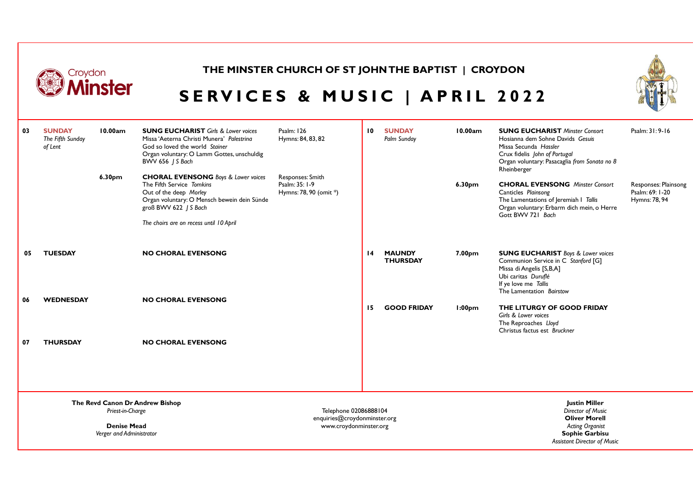| Croydon |                                              |                                                                    | THE MINSTER CHURCH OF ST JOHN THE BAPTIST   CROYDON                                                                                                                                                                  |                                                                                 |                               |                 |  |                                                                                                                             |  |                    |                                                                                                                                                                                                    |                                                          |
|---------|----------------------------------------------|--------------------------------------------------------------------|----------------------------------------------------------------------------------------------------------------------------------------------------------------------------------------------------------------------|---------------------------------------------------------------------------------|-------------------------------|-----------------|--|-----------------------------------------------------------------------------------------------------------------------------|--|--------------------|----------------------------------------------------------------------------------------------------------------------------------------------------------------------------------------------------|----------------------------------------------------------|
|         | linster                                      |                                                                    |                                                                                                                                                                                                                      |                                                                                 | SERVICES & MUSIC   APRIL 2022 |                 |  |                                                                                                                             |  |                    |                                                                                                                                                                                                    |                                                          |
| 03      | <b>SUNDAY</b><br>The Fifth Sunday<br>of Lent | 10.00am                                                            | <b>SUNG EUCHARIST</b> Girls & Lower voices<br>Missa 'Aeterna Christi Munera' Palestrina<br>God so loved the world Stainer<br>Organ voluntary: O Lamm Gottes, unschuldig<br><b>BWV 656 / S Bach</b>                   | <b>Psalm: 126</b><br>Hymns: 84, 83, 82                                          |                               | 10 <sup>°</sup> |  | <b>SUNDAY</b><br>Palm Sunday                                                                                                |  | 10.00am            | <b>SUNG EUCHARIST Minster Consort</b><br>Hosianna dem Sohne Davids Gesuis<br>Missa Secunda Hassler<br>Crux fidelis John of Portugal<br>Organ voluntary: Pasacaglia from Sonata no 8<br>Rheinberger | Psalm: 31: 9-16                                          |
|         |                                              | 6.30 <sub>pm</sub>                                                 | <b>CHORAL EVENSONG</b> Boys & Lower voices<br>The Fifth Service Tomkins<br>Out of the deep Morley<br>Organ voluntary: O Mensch bewein dein Sünde<br>groß BWV 622 / S Bach<br>The choirs are on recess until 10 April | Responses: Smith<br>Psalm: 35: 1-9<br>Hymns: 78, 90 (omit *)                    |                               |                 |  |                                                                                                                             |  | 6.30 <sub>pm</sub> | <b>CHORAL EVENSONG</b> Minster Consort<br>Canticles Plainsong<br>The Lamentations of Jeremiah I Tallis<br>Organ voluntary: Erbarm dich mein, o Herre<br>Gott BWV 721 Bach                          | Responses: Plainsong<br>Psalm: 69: 1-20<br>Hymns: 78, 94 |
| 05      | <b>TUESDAY</b>                               |                                                                    | <b>NO CHORAL EVENSONG</b>                                                                                                                                                                                            |                                                                                 |                               | $\overline{14}$ |  | <b>MAUNDY</b><br><b>THURSDAY</b>                                                                                            |  | 7.00 <sub>pm</sub> | <b>SUNG EUCHARIST</b> Boys & Lower voices<br>Communion Service in C Stanford [G]<br>Missa di Angelis [S,B,A]<br>Ubi caritas Duruflé<br>If ye love me Tallis<br>The Lamentation Bairstow            |                                                          |
| 06      | <b>WEDNESDAY</b>                             |                                                                    | <b>NO CHORAL EVENSONG</b>                                                                                                                                                                                            |                                                                                 |                               | 15              |  | <b>GOOD FRIDAY</b>                                                                                                          |  | 1:00 <sub>pm</sub> | THE LITURGY OF GOOD FRIDAY<br>Girls & Lower voices<br>The Reproaches Lloyd<br>Christus factus est Bruckner                                                                                         |                                                          |
| 07      | <b>THURSDAY</b>                              |                                                                    | <b>NO CHORAL EVENSONG</b>                                                                                                                                                                                            |                                                                                 |                               |                 |  |                                                                                                                             |  |                    |                                                                                                                                                                                                    |                                                          |
|         |                                              |                                                                    | The Revd Canon Dr Andrew Bishop                                                                                                                                                                                      |                                                                                 |                               |                 |  |                                                                                                                             |  |                    | <b>Justin Miller</b>                                                                                                                                                                               |                                                          |
|         |                                              | Priest-in-Charge<br><b>Denise Mead</b><br>Verger and Administrator |                                                                                                                                                                                                                      | Telephone 02086888104<br>enquiries@croydonminster.org<br>www.croydonminster.org |                               |                 |  | Director of Music<br><b>Oliver Morell</b><br><b>Acting Organist</b><br>Sophie Garbisu<br><b>Assistant Director of Music</b> |  |                    |                                                                                                                                                                                                    |                                                          |